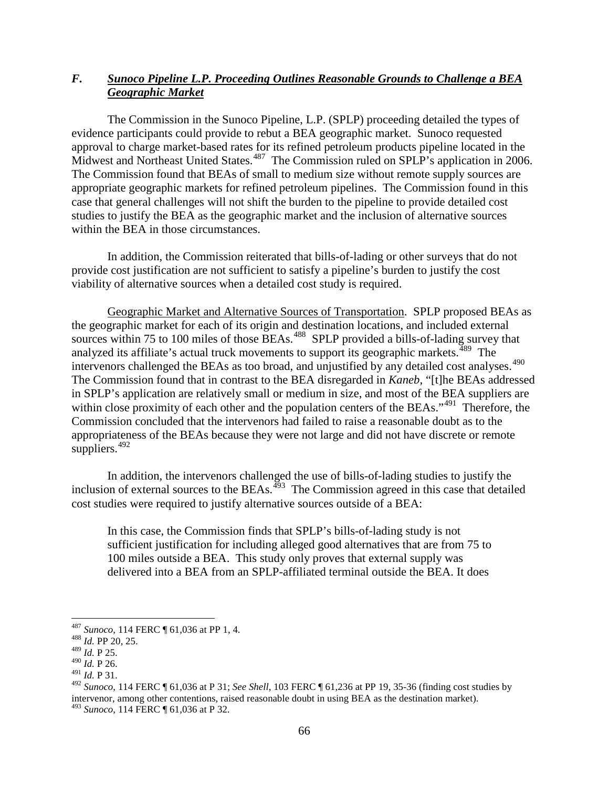## *F. Sunoco Pipeline L.P. Proceeding Outlines Reasonable Grounds to Challenge a BEA Geographic Market*

The Commission in the Sunoco Pipeline, L.P. (SPLP) proceeding detailed the types of evidence participants could provide to rebut a BEA geographic market. Sunoco requested approval to charge market-based rates for its refined petroleum products pipeline located in the Midwest and Northeast United States.<sup>[487](#page-0-0)</sup> The Commission ruled on SPLP's application in 2006. The Commission found that BEAs of small to medium size without remote supply sources are appropriate geographic markets for refined petroleum pipelines. The Commission found in this case that general challenges will not shift the burden to the pipeline to provide detailed cost studies to justify the BEA as the geographic market and the inclusion of alternative sources within the BEA in those circumstances.

In addition, the Commission reiterated that bills-of-lading or other surveys that do not provide cost justification are not sufficient to satisfy a pipeline's burden to justify the cost viability of alternative sources when a detailed cost study is required.

Geographic Market and Alternative Sources of Transportation. SPLP proposed BEAs as the geographic market for each of its origin and destination locations, and included external sources within 75 to 100 miles of those BEAs.<sup>488</sup> SPLP provided a bills-of-lading survey that analyzed its affiliate's actual truck movements to support its geographic markets.<sup>[489](#page-0-2)</sup> The intervenors challenged the BEAs as too broad, and unjustified by any detailed cost analyses.<sup>490</sup> The Commission found that in contrast to the BEA disregarded in *Kaneb*, "[t]he BEAs addressed in SPLP's application are relatively small or medium in size, and most of the BEA suppliers are within close proximity of each other and the population centers of the BEAs."<sup>[491](#page-0-4)</sup> Therefore, the Commission concluded that the intervenors had failed to raise a reasonable doubt as to the appropriateness of the BEAs because they were not large and did not have discrete or remote suppliers.  $492$ 

In addition, the intervenors challenged the use of bills-of-lading studies to justify the inclusion of external sources to the BEAs. $493$  The Commission agreed in this case that detailed cost studies were required to justify alternative sources outside of a BEA:

In this case, the Commission finds that SPLP's bills-of-lading study is not sufficient justification for including alleged good alternatives that are from 75 to 100 miles outside a BEA. This study only proves that external supply was delivered into a BEA from an SPLP-affiliated terminal outside the BEA. It does

<span id="page-0-0"></span><sup>487</sup> *Sunoco*, 114 FERC ¶ 61,036 at PP 1, 4. <sup>488</sup> *Id.* PP 20, 25.

<span id="page-0-2"></span><span id="page-0-1"></span><sup>489</sup> *Id.* P 25.

<span id="page-0-3"></span><sup>490</sup> *Id.* P 26.

<span id="page-0-4"></span><sup>491</sup> *Id.* P 31.

<span id="page-0-6"></span><span id="page-0-5"></span><sup>492</sup> *Sunoco*, 114 FERC ¶ 61,036 at P 31; *See Shell*, 103 FERC ¶ 61,236 at PP 19, 35-36 (finding cost studies by intervenor, among other contentions, raised reasonable doubt in using BEA as the destination market). <sup>493</sup> *Sunoco*, 114 FERC ¶ 61,036 at P 32.